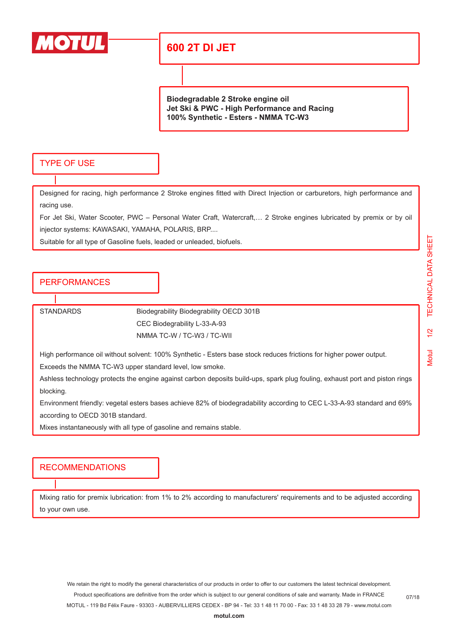

## **600 2T DI JET**

**Biodegradable 2 Stroke engine oil Jet Ski & PWC - High Performance and Racing 100% Synthetic - Esters - NMMA TC-W3**

#### TYPE OF USE

Designed for racing, high performance 2 Stroke engines fitted with Direct Injection or carburetors, high performance and racing use.

For Jet Ski, Water Scooter, PWC – Personal Water Craft, Watercraft,… 2 Stroke engines lubricated by premix or by oil injector systems: KAWASAKI, YAMAHA, POLARIS, BRP....

Suitable for all type of Gasoline fuels, leaded or unleaded, biofuels.

#### PERFORMANCES

STANDARDS Biodegrability Biodegrability OECD 301B CEC Biodegrability L-33-A-93 NMMA TC-W / TC-W3 / TC-WII

High performance oil without solvent: 100% Synthetic - Esters base stock reduces frictions for higher power output.

Exceeds the NMMA TC-W3 upper standard level, low smoke.

Ashless technology protects the engine against carbon deposits build-ups, spark plug fouling, exhaust port and piston rings blocking.

Environment friendly: vegetal esters bases achieve 82% of biodegradability according to CEC L-33-A-93 standard and 69% according to OECD 301B standard.

Mixes instantaneously with all type of gasoline and remains stable.

#### RECOMMENDATIONS

Mixing ratio for premix lubrication: from 1% to 2% according to manufacturers' requirements and to be adjusted according to your own use.

We retain the right to modify the general characteristics of our products in order to offer to our customers the latest technical development. Product specifications are definitive from the order which is subject to our general conditions of sale and warranty. Made in FRANCE MOTUL - 119 Bd Félix Faure - 93303 - AUBERVILLIERS CEDEX - BP 94 - Tel: 33 1 48 11 70 00 - Fax: 33 1 48 33 28 79 - www.motul.com